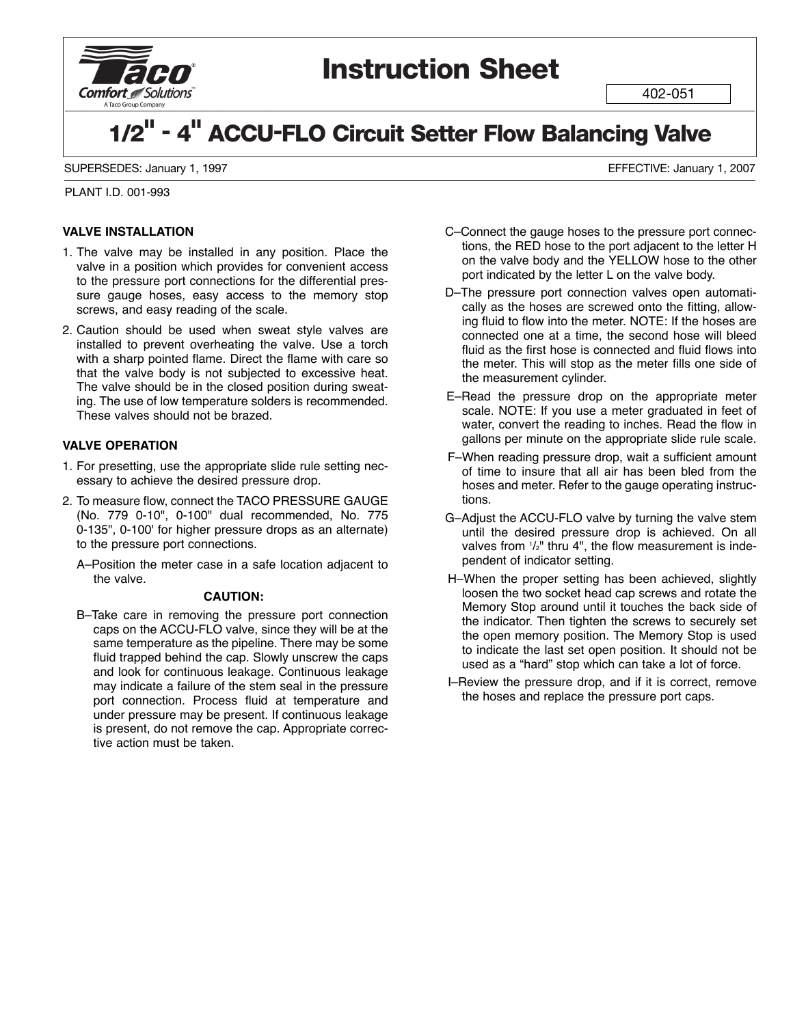

## **Instruction Sheet**

402-051

# **1/2" - 4" ACCU-FLO Circuit Setter Flow Balancing Valve**

SUPERSEDES: January 1, 1997 EFFECTIVE: January 1, 2007

PLANT I.D. 001-993

#### **VALVE INSTALLATION**

- 1. The valve may be installed in any position. Place the valve in a position which provides for convenient access to the pressure port connections for the differential pressure gauge hoses, easy access to the memory stop screws, and easy reading of the scale.
- 2. Caution should be used when sweat style valves are installed to prevent overheating the valve. Use a torch with a sharp pointed flame. Direct the flame with care so that the valve body is not subjected to excessive heat. The valve should be in the closed position during sweating. The use of low temperature solders is recommended. These valves should not be brazed.

### **VALVE OPERATION**

- 1. For presetting, use the appropriate slide rule setting necessary to achieve the desired pressure drop.
- 2. To measure flow, connect the TACO PRESSURE GAUGE (No. 779 0-10", 0-100" dual recommended, No. 775 0-135", 0-100' for higher pressure drops as an alternate) to the pressure port connections.
	- A–Position the meter case in a safe location adjacent to the valve.

#### **CAUTION:**

B–Take care in removing the pressure port connection caps on the ACCU-FLO valve, since they will be at the same temperature as the pipeline. There may be some fluid trapped behind the cap. Slowly unscrew the caps and look for continuous leakage. Continuous leakage may indicate a failure of the stem seal in the pressure port connection. Process fluid at temperature and under pressure may be present. If continuous leakage is present, do not remove the cap. Appropriate corrective action must be taken.

- C–Connect the gauge hoses to the pressure port connections, the RED hose to the port adjacent to the letter H on the valve body and the YELLOW hose to the other port indicated by the letter L on the valve body.
- D–The pressure port connection valves open automatically as the hoses are screwed onto the fitting, allowing fluid to flow into the meter. NOTE: If the hoses are connected one at a time, the second hose will bleed fluid as the first hose is connected and fluid flows into the meter. This will stop as the meter fills one side of the measurement cylinder.
- E–Read the pressure drop on the appropriate meter scale. NOTE: If you use a meter graduated in feet of water, convert the reading to inches. Read the flow in gallons per minute on the appropriate slide rule scale.
- F–When reading pressure drop, wait a sufficient amount of time to insure that all air has been bled from the hoses and meter. Refer to the gauge operating instructions.
- G–Adjust the ACCU-FLO valve by turning the valve stem until the desired pressure drop is achieved. On all valves from  $1/2$ " thru 4", the flow measurement is independent of indicator setting.
- H–When the proper setting has been achieved, slightly loosen the two socket head cap screws and rotate the Memory Stop around until it touches the back side of the indicator. Then tighten the screws to securely set the open memory position. The Memory Stop is used to indicate the last set open position. It should not be used as a "hard" stop which can take a lot of force.
- I–Review the pressure drop, and if it is correct, remove the hoses and replace the pressure port caps.